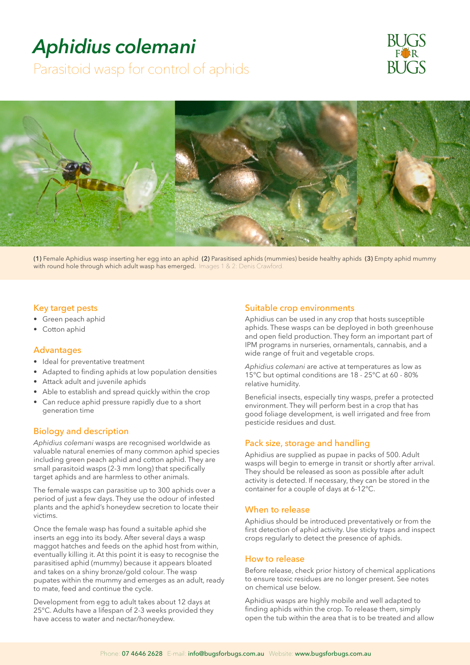# *Aphidius colemani*

Parasitoid wasp for control of aphids





**(1)** Female Aphidius wasp inserting her egg into an aphid **(2)** Parasitised aphids (mummies) beside healthy aphids **(3)** Empty aphid mummy with round hole through which adult wasp has emerged. Images 1 & 2: Denis Crawford.

## Key target pests

- Green peach aphid
- Cotton aphid

## Advantages

- Ideal for preventative treatment
- Adapted to finding aphids at low population densities
- Attack adult and juvenile aphids
- Able to establish and spread quickly within the crop
- Can reduce aphid pressure rapidly due to a short generation time

## Biology and description

*Aphidius colemani* wasps are recognised worldwide as valuable natural enemies of many common aphid species including green peach aphid and cotton aphid. They are small parasitoid wasps (2-3 mm long) that specifically target aphids and are harmless to other animals.

The female wasps can parasitise up to 300 aphids over a period of just a few days. They use the odour of infested plants and the aphid's honeydew secretion to locate their victims.

Once the female wasp has found a suitable aphid she inserts an egg into its body. After several days a wasp maggot hatches and feeds on the aphid host from within, eventually killing it. At this point it is easy to recognise the parasitised aphid (mummy) because it appears bloated and takes on a shiny bronze/gold colour. The wasp pupates within the mummy and emerges as an adult, ready to mate, feed and continue the cycle.

Development from egg to adult takes about 12 days at 25°C. Adults have a lifespan of 2-3 weeks provided they have access to water and nectar/honeydew.

#### Suitable crop environments

Aphidius can be used in any crop that hosts susceptible aphids. These wasps can be deployed in both greenhouse and open field production. They form an important part of IPM programs in nurseries, ornamentals, cannabis, and a wide range of fruit and vegetable crops.

*Aphidius colemani* are active at temperatures as low as 15°C but optimal conditions are 18 - 25°C at 60 - 80% relative humidity.

Beneficial insects, especially tiny wasps, prefer a protected environment. They will perform best in a crop that has good foliage development, is well irrigated and free from pesticide residues and dust.

# Pack size, storage and handling

Aphidius are supplied as pupae in packs of 500. Adult wasps will begin to emerge in transit or shortly after arrival. They should be released as soon as possible after adult activity is detected. If necessary, they can be stored in the container for a couple of days at 6-12°C.

#### When to release

Aphidius should be introduced preventatively or from the first detection of aphid activity. Use sticky traps and inspect crops regularly to detect the presence of aphids.

#### How to release

Before release, check prior history of chemical applications to ensure toxic residues are no longer present. See notes on chemical use below.

Aphidius wasps are highly mobile and well adapted to finding aphids within the crop. To release them, simply open the tub within the area that is to be treated and allow